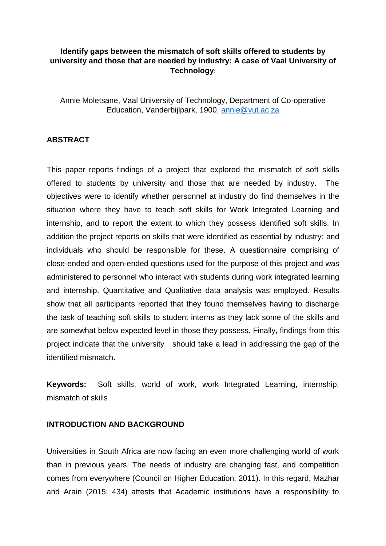# **Identify gaps between the mismatch of soft skills offered to students by university and those that are needed by industry: A case of Vaal University of Technology**:

Annie Moletsane, Vaal University of Technology, Department of Co-operative Education, Vanderbijlpark, 1900, [annie@vut.ac.za](mailto:annie@vut.ac.za)

# **ABSTRACT**

This paper reports findings of a project that explored the mismatch of soft skills offered to students by university and those that are needed by industry. The objectives were to identify whether personnel at industry do find themselves in the situation where they have to teach soft skills for Work Integrated Learning and internship, and to report the extent to which they possess identified soft skills. In addition the project reports on skills that were identified as essential by industry; and individuals who should be responsible for these. A questionnaire comprising of close-ended and open-ended questions used for the purpose of this project and was administered to personnel who interact with students during work integrated learning and internship. Quantitative and Qualitative data analysis was employed. Results show that all participants reported that they found themselves having to discharge the task of teaching soft skills to student interns as they lack some of the skills and are somewhat below expected level in those they possess. Finally, findings from this project indicate that the university should take a lead in addressing the gap of the identified mismatch.

**Keywords:** Soft skills, world of work, work Integrated Learning, internship, mismatch of skills

### **INTRODUCTION AND BACKGROUND**

Universities in South Africa are now facing an even more challenging world of work than in previous years. The needs of industry are changing fast, and competition comes from everywhere (Council on Higher Education, 2011). In this regard, Mazhar and Arain (2015: 434) attests that Academic institutions have a responsibility to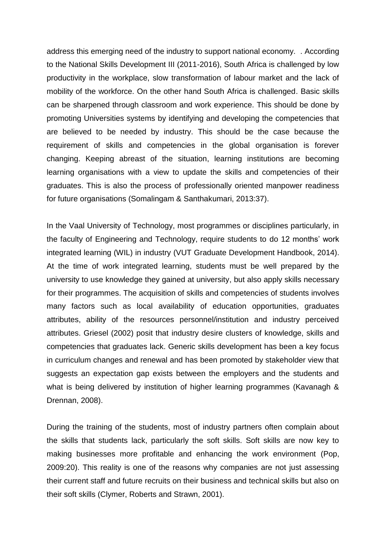address this emerging need of the industry to support national economy. . According to the National Skills Development III (2011-2016), South Africa is challenged by low productivity in the workplace, slow transformation of labour market and the lack of mobility of the workforce. On the other hand South Africa is challenged. Basic skills can be sharpened through classroom and work experience. This should be done by promoting Universities systems by identifying and developing the competencies that are believed to be needed by industry. This should be the case because the requirement of skills and competencies in the global organisation is forever changing. Keeping abreast of the situation, learning institutions are becoming learning organisations with a view to update the skills and competencies of their graduates. This is also the process of professionally oriented manpower readiness for future organisations (Somalingam & Santhakumari, 2013:37).

In the Vaal University of Technology, most programmes or disciplines particularly, in the faculty of Engineering and Technology, require students to do 12 months' work integrated learning (WIL) in industry (VUT Graduate Development Handbook, 2014). At the time of work integrated learning, students must be well prepared by the university to use knowledge they gained at university, but also apply skills necessary for their programmes. The acquisition of skills and competencies of students involves many factors such as local availability of education opportunities, graduates attributes, ability of the resources personnel/institution and industry perceived attributes. Griesel (2002) posit that industry desire clusters of knowledge, skills and competencies that graduates lack. Generic skills development has been a key focus in curriculum changes and renewal and has been promoted by stakeholder view that suggests an expectation gap exists between the employers and the students and what is being delivered by institution of higher learning programmes (Kavanagh & Drennan, 2008).

During the training of the students, most of industry partners often complain about the skills that students lack, particularly the soft skills. Soft skills are now key to making businesses more profitable and enhancing the work environment (Pop, 2009:20). This reality is one of the reasons why companies are not just assessing their current staff and future recruits on their business and technical skills but also on their soft skills (Clymer, Roberts and Strawn, 2001).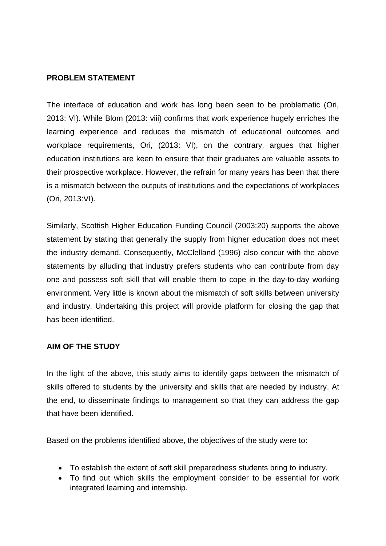## **PROBLEM STATEMENT**

The interface of education and work has long been seen to be problematic (Ori, 2013: VI). While Blom (2013: viii) confirms that work experience hugely enriches the learning experience and reduces the mismatch of educational outcomes and workplace requirements, Ori, (2013: VI), on the contrary, argues that higher education institutions are keen to ensure that their graduates are valuable assets to their prospective workplace. However, the refrain for many years has been that there is a mismatch between the outputs of institutions and the expectations of workplaces (Ori, 2013:VI).

Similarly, Scottish Higher Education Funding Council (2003:20) supports the above statement by stating that generally the supply from higher education does not meet the industry demand. Consequently, McClelland (1996) also concur with the above statements by alluding that industry prefers students who can contribute from day one and possess soft skill that will enable them to cope in the day-to-day working environment. Very little is known about the mismatch of soft skills between university and industry. Undertaking this project will provide platform for closing the gap that has been identified.

# **AIM OF THE STUDY**

In the light of the above, this study aims to identify gaps between the mismatch of skills offered to students by the university and skills that are needed by industry. At the end, to disseminate findings to management so that they can address the gap that have been identified.

Based on the problems identified above, the objectives of the study were to:

- To establish the extent of soft skill preparedness students bring to industry.
- To find out which skills the employment consider to be essential for work integrated learning and internship.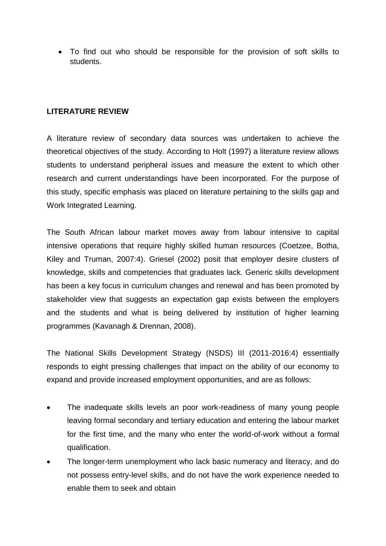To find out who should be responsible for the provision of soft skills to students.

# **LITERATURE REVIEW**

A literature review of secondary data sources was undertaken to achieve the theoretical objectives of the study. According to Holt (1997) a literature review allows students to understand peripheral issues and measure the extent to which other research and current understandings have been incorporated. For the purpose of this study, specific emphasis was placed on literature pertaining to the skills gap and Work Integrated Learning.

The South African labour market moves away from labour intensive to capital intensive operations that require highly skilled human resources (Coetzee, Botha, Kiley and Truman, 2007:4). Griesel (2002) posit that employer desire clusters of knowledge, skills and competencies that graduates lack. Generic skills development has been a key focus in curriculum changes and renewal and has been promoted by stakeholder view that suggests an expectation gap exists between the employers and the students and what is being delivered by institution of higher learning programmes (Kavanagh & Drennan, 2008).

The National Skills Development Strategy (NSDS) III (2011-2016:4) essentially responds to eight pressing challenges that impact on the ability of our economy to expand and provide increased employment opportunities, and are as follows:

- The inadequate skills levels an poor work-readiness of many young people leaving formal secondary and tertiary education and entering the labour market for the first time, and the many who enter the world-of-work without a formal qualification.
- The longer-term unemployment who lack basic numeracy and literacy, and do not possess entry-level skills, and do not have the work experience needed to enable them to seek and obtain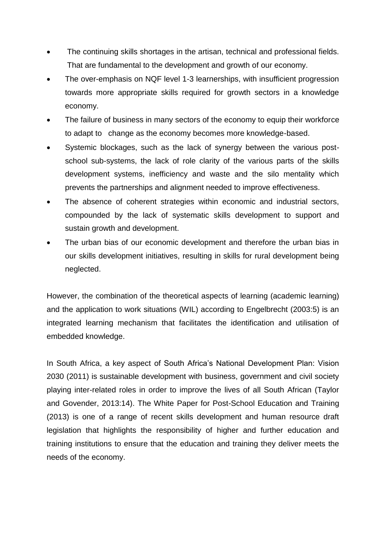- The continuing skills shortages in the artisan, technical and professional fields. That are fundamental to the development and growth of our economy.
- The over-emphasis on NQF level 1-3 learnerships, with insufficient progression towards more appropriate skills required for growth sectors in a knowledge economy.
- The failure of business in many sectors of the economy to equip their workforce to adapt to change as the economy becomes more knowledge-based.
- Systemic blockages, such as the lack of synergy between the various postschool sub-systems, the lack of role clarity of the various parts of the skills development systems, inefficiency and waste and the silo mentality which prevents the partnerships and alignment needed to improve effectiveness.
- The absence of coherent strategies within economic and industrial sectors, compounded by the lack of systematic skills development to support and sustain growth and development.
- The urban bias of our economic development and therefore the urban bias in our skills development initiatives, resulting in skills for rural development being neglected.

However, the combination of the theoretical aspects of learning (academic learning) and the application to work situations (WIL) according to Engelbrecht (2003:5) is an integrated learning mechanism that facilitates the identification and utilisation of embedded knowledge.

In South Africa, a key aspect of South Africa's National Development Plan: Vision 2030 (2011) is sustainable development with business, government and civil society playing inter-related roles in order to improve the lives of all South African (Taylor and Govender, 2013:14). The White Paper for Post-School Education and Training (2013) is one of a range of recent skills development and human resource draft legislation that highlights the responsibility of higher and further education and training institutions to ensure that the education and training they deliver meets the needs of the economy.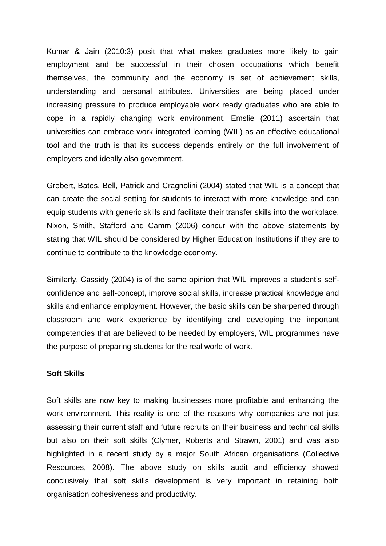Kumar & Jain (2010:3) posit that what makes graduates more likely to gain employment and be successful in their chosen occupations which benefit themselves, the community and the economy is set of achievement skills, understanding and personal attributes. Universities are being placed under increasing pressure to produce employable work ready graduates who are able to cope in a rapidly changing work environment. Emslie (2011) ascertain that universities can embrace work integrated learning (WIL) as an effective educational tool and the truth is that its success depends entirely on the full involvement of employers and ideally also government.

Grebert, Bates, Bell, Patrick and Cragnolini (2004) stated that WIL is a concept that can create the social setting for students to interact with more knowledge and can equip students with generic skills and facilitate their transfer skills into the workplace. Nixon, Smith, Stafford and Camm (2006) concur with the above statements by stating that WIL should be considered by Higher Education Institutions if they are to continue to contribute to the knowledge economy.

Similarly, Cassidy (2004) is of the same opinion that WIL improves a student's selfconfidence and self-concept, improve social skills, increase practical knowledge and skills and enhance employment. However, the basic skills can be sharpened through classroom and work experience by identifying and developing the important competencies that are believed to be needed by employers, WIL programmes have the purpose of preparing students for the real world of work.

#### **Soft Skills**

Soft skills are now key to making businesses more profitable and enhancing the work environment. This reality is one of the reasons why companies are not just assessing their current staff and future recruits on their business and technical skills but also on their soft skills (Clymer, Roberts and Strawn, 2001) and was also highlighted in a recent study by a major South African organisations (Collective Resources, 2008). The above study on skills audit and efficiency showed conclusively that soft skills development is very important in retaining both organisation cohesiveness and productivity.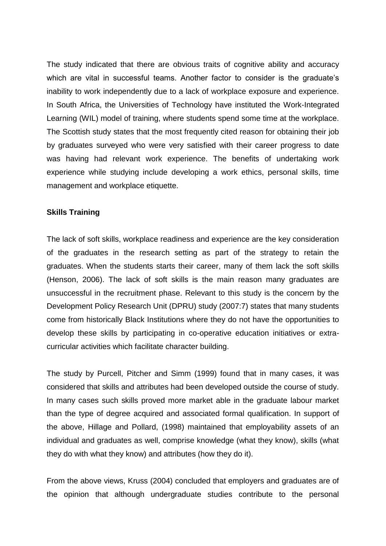The study indicated that there are obvious traits of cognitive ability and accuracy which are vital in successful teams. Another factor to consider is the graduate's inability to work independently due to a lack of workplace exposure and experience. In South Africa, the Universities of Technology have instituted the Work-Integrated Learning (WIL) model of training, where students spend some time at the workplace. The Scottish study states that the most frequently cited reason for obtaining their job by graduates surveyed who were very satisfied with their career progress to date was having had relevant work experience. The benefits of undertaking work experience while studying include developing a work ethics, personal skills, time management and workplace etiquette.

## **Skills Training**

The lack of soft skills, workplace readiness and experience are the key consideration of the graduates in the research setting as part of the strategy to retain the graduates. When the students starts their career, many of them lack the soft skills (Henson, 2006). The lack of soft skills is the main reason many graduates are unsuccessful in the recruitment phase. Relevant to this study is the concern by the Development Policy Research Unit (DPRU) study (2007:7) states that many students come from historically Black Institutions where they do not have the opportunities to develop these skills by participating in co-operative education initiatives or extracurricular activities which facilitate character building.

The study by Purcell, Pitcher and Simm (1999) found that in many cases, it was considered that skills and attributes had been developed outside the course of study. In many cases such skills proved more market able in the graduate labour market than the type of degree acquired and associated formal qualification. In support of the above, Hillage and Pollard, (1998) maintained that employability assets of an individual and graduates as well, comprise knowledge (what they know), skills (what they do with what they know) and attributes (how they do it).

From the above views, Kruss (2004) concluded that employers and graduates are of the opinion that although undergraduate studies contribute to the personal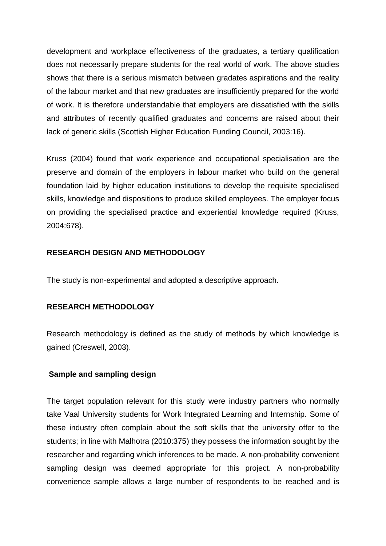development and workplace effectiveness of the graduates, a tertiary qualification does not necessarily prepare students for the real world of work. The above studies shows that there is a serious mismatch between gradates aspirations and the reality of the labour market and that new graduates are insufficiently prepared for the world of work. It is therefore understandable that employers are dissatisfied with the skills and attributes of recently qualified graduates and concerns are raised about their lack of generic skills (Scottish Higher Education Funding Council, 2003:16).

Kruss (2004) found that work experience and occupational specialisation are the preserve and domain of the employers in labour market who build on the general foundation laid by higher education institutions to develop the requisite specialised skills, knowledge and dispositions to produce skilled employees. The employer focus on providing the specialised practice and experiential knowledge required (Kruss, 2004:678).

# **RESEARCH DESIGN AND METHODOLOGY**

The study is non-experimental and adopted a descriptive approach.

# **RESEARCH METHODOLOGY**

Research methodology is defined as the study of methods by which knowledge is gained (Creswell, 2003).

### **Sample and sampling design**

The target population relevant for this study were industry partners who normally take Vaal University students for Work Integrated Learning and Internship. Some of these industry often complain about the soft skills that the university offer to the students; in line with Malhotra (2010:375) they possess the information sought by the researcher and regarding which inferences to be made. A non-probability convenient sampling design was deemed appropriate for this project. A non-probability convenience sample allows a large number of respondents to be reached and is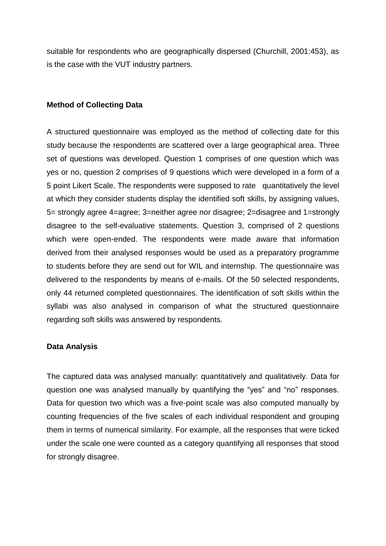suitable for respondents who are geographically dispersed (Churchill, 2001:453), as is the case with the VUT industry partners.

## **Method of Collecting Data**

A structured questionnaire was employed as the method of collecting date for this study because the respondents are scattered over a large geographical area. Three set of questions was developed. Question 1 comprises of one question which was yes or no, question 2 comprises of 9 questions which were developed in a form of a 5 point Likert Scale. The respondents were supposed to rate quantitatively the level at which they consider students display the identified soft skills, by assigning values, 5= strongly agree 4=agree; 3=neither agree nor disagree; 2=disagree and 1=strongly disagree to the self-evaluative statements. Question 3, comprised of 2 questions which were open-ended. The respondents were made aware that information derived from their analysed responses would be used as a preparatory programme to students before they are send out for WIL and internship. The questionnaire was delivered to the respondents by means of e-mails. Of the 50 selected respondents, only 44 returned completed questionnaires. The identification of soft skills within the syllabi was also analysed in comparison of what the structured questionnaire regarding soft skills was answered by respondents.

### **Data Analysis**

The captured data was analysed manually: quantitatively and qualitatively. Data for question one was analysed manually by quantifying the "yes" and "no" responses. Data for question two which was a five-point scale was also computed manually by counting frequencies of the five scales of each individual respondent and grouping them in terms of numerical similarity. For example, all the responses that were ticked under the scale one were counted as a category quantifying all responses that stood for strongly disagree.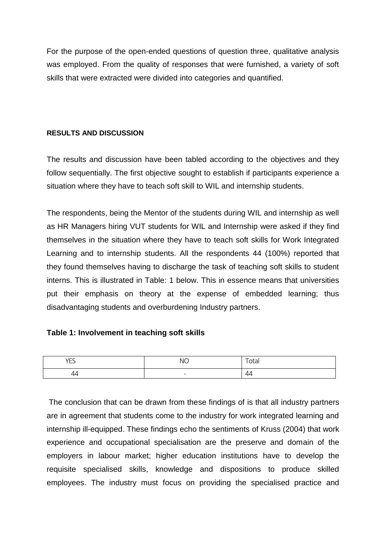For the purpose of the open-ended questions of question three, qualitative analysis was employed. From the quality of responses that were furnished, a variety of soft skills that were extracted were divided into categories and quantified.

## **RESULTS AND DISCUSSION**

The results and discussion have been tabled according to the objectives and they follow sequentially. The first objective sought to establish if participants experience a situation where they have to teach soft skill to WIL and internship students.

The respondents, being the Mentor of the students during WIL and internship as well as HR Managers hiring VUT students for WIL and Internship were asked if they find themselves in the situation where they have to teach soft skills for Work Integrated Learning and to internship students. All the respondents 44 (100%) reported that they found themselves having to discharge the task of teaching soft skills to student interns. This is illustrated in Table: 1 below. This in essence means that universities put their emphasis on theory at the expense of embedded learning; thus disadvantaging students and overburdening Industry partners.

# **Table 1: Involvement in teaching soft skills**

| YES | <b>NO</b>                | -<br>ιa |
|-----|--------------------------|---------|
| ⊥   | $\overline{\phantom{0}}$ | 44      |

The conclusion that can be drawn from these findings of is that all industry partners are in agreement that students come to the industry for work integrated learning and internship ill-equipped. These findings echo the sentiments of Kruss (2004) that work experience and occupational specialisation are the preserve and domain of the employers in labour market; higher education institutions have to develop the requisite specialised skills, knowledge and dispositions to produce skilled employees. The industry must focus on providing the specialised practice and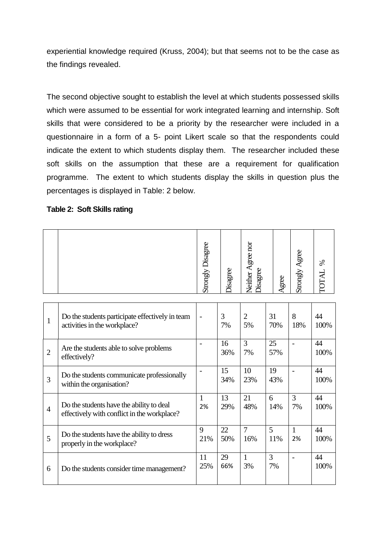experiential knowledge required (Kruss, 2004); but that seems not to be the case as the findings revealed.

The second objective sought to establish the level at which students possessed skills which were assumed to be essential for work integrated learning and internship. Soft skills that were considered to be a priority by the researcher were included in a questionnaire in a form of a 5- point Likert scale so that the respondents could indicate the extent to which students display them. The researcher included these soft skills on the assumption that these are a requirement for qualification programme. The extent to which students display the skills in question plus the percentages is displayed in Table: 2 below.

### **Table 2: Soft Skills rating**

|                |                                                                                         | <b>Strongly Disagree</b> | Disagree  | Neither Agree nor<br>Disagree | Agree     | Strongly Agree     | POTAL %    |
|----------------|-----------------------------------------------------------------------------------------|--------------------------|-----------|-------------------------------|-----------|--------------------|------------|
| $\mathbf{1}$   | Do the students participate effectively in team<br>activities in the workplace?         |                          | 3<br>7%   | $\overline{2}$<br>5%          | 31<br>70% | 8<br>18%           | 44<br>100% |
| $\overline{2}$ | Are the students able to solve problems<br>effectively?                                 |                          | 16<br>36% | $\overline{3}$<br>7%          | 25<br>57% |                    | 44<br>100% |
| 3              | Do the students communicate professionally<br>within the organisation?                  |                          | 15<br>34% | 10<br>23%                     | 19<br>43% |                    | 44<br>100% |
| $\overline{4}$ | Do the students have the ability to deal<br>effectively with conflict in the workplace? | 1<br>2%                  | 13<br>29% | 21<br>48%                     | 6<br>14%  | 3<br>7%            | 44<br>100% |
| 5              | Do the students have the ability to dress<br>properly in the workplace?                 | 9<br>21%                 | 22<br>50% | $\overline{7}$<br>16%         | 5<br>11%  | $\mathbf{1}$<br>2% | 44<br>100% |
| 6              | Do the students consider time management?                                               | 11<br>25%                | 29<br>66% | $\mathbf{1}$<br>3%            | 3<br>7%   |                    | 44<br>100% |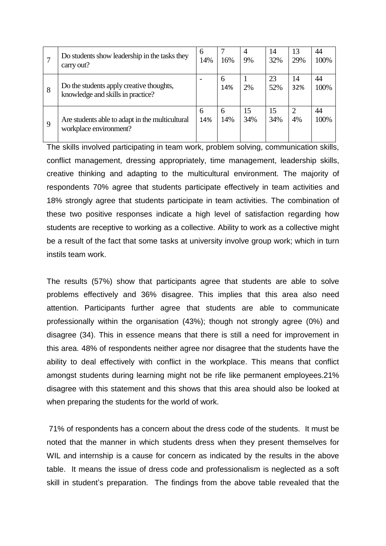|   | Do students show leadership in the tasks they<br>carry out?                   | 6<br>14% | 16%      | $\overline{4}$<br>9% | 14<br>32% | 13<br>29% | 44<br>100% |
|---|-------------------------------------------------------------------------------|----------|----------|----------------------|-----------|-----------|------------|
| 8 | Do the students apply creative thoughts,<br>knowledge and skills in practice? |          | 6<br>14% | 2%                   | 23<br>52% | 14<br>32% | 44<br>100% |
| 9 | Are students able to adapt in the multicultural<br>workplace environment?     | 6<br>14% | 6<br>14% | 15<br>34%            | 15<br>34% | 2<br>4%   | 44<br>100% |

The skills involved participating in team work, problem solving, communication skills, conflict management, dressing appropriately, time management, leadership skills, creative thinking and adapting to the multicultural environment. The majority of respondents 70% agree that students participate effectively in team activities and 18% strongly agree that students participate in team activities. The combination of these two positive responses indicate a high level of satisfaction regarding how students are receptive to working as a collective. Ability to work as a collective might be a result of the fact that some tasks at university involve group work; which in turn instils team work.

The results (57%) show that participants agree that students are able to solve problems effectively and 36% disagree. This implies that this area also need attention. Participants further agree that students are able to communicate professionally within the organisation (43%); though not strongly agree (0%) and disagree (34). This in essence means that there is still a need for improvement in this area. 48% of respondents neither agree nor disagree that the students have the ability to deal effectively with conflict in the workplace. This means that conflict amongst students during learning might not be rife like permanent employees.21% disagree with this statement and this shows that this area should also be looked at when preparing the students for the world of work.

71% of respondents has a concern about the dress code of the students. It must be noted that the manner in which students dress when they present themselves for WIL and internship is a cause for concern as indicated by the results in the above table. It means the issue of dress code and professionalism is neglected as a soft skill in student's preparation. The findings from the above table revealed that the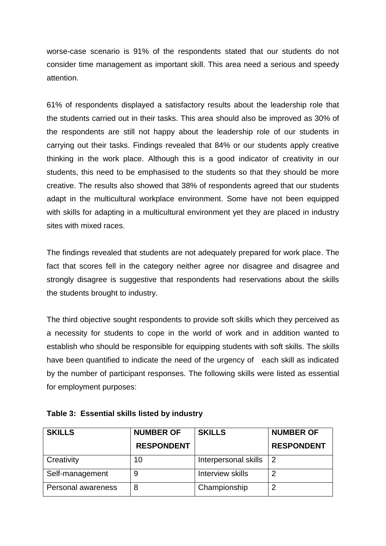worse-case scenario is 91% of the respondents stated that our students do not consider time management as important skill. This area need a serious and speedy attention.

61% of respondents displayed a satisfactory results about the leadership role that the students carried out in their tasks. This area should also be improved as 30% of the respondents are still not happy about the leadership role of our students in carrying out their tasks. Findings revealed that 84% or our students apply creative thinking in the work place. Although this is a good indicator of creativity in our students, this need to be emphasised to the students so that they should be more creative. The results also showed that 38% of respondents agreed that our students adapt in the multicultural workplace environment. Some have not been equipped with skills for adapting in a multicultural environment yet they are placed in industry sites with mixed races.

The findings revealed that students are not adequately prepared for work place. The fact that scores fell in the category neither agree nor disagree and disagree and strongly disagree is suggestive that respondents had reservations about the skills the students brought to industry.

The third objective sought respondents to provide soft skills which they perceived as a necessity for students to cope in the world of work and in addition wanted to establish who should be responsible for equipping students with soft skills. The skills have been quantified to indicate the need of the urgency of each skill as indicated by the number of participant responses. The following skills were listed as essential for employment purposes:

| <b>SKILLS</b>      | <b>NUMBER OF</b>  | <b>SKILLS</b>        | <b>NUMBER OF</b>  |
|--------------------|-------------------|----------------------|-------------------|
|                    | <b>RESPONDENT</b> |                      | <b>RESPONDENT</b> |
| Creativity         | 10                | Interpersonal skills | 2                 |
| Self-management    | 9                 | Interview skills     |                   |
| Personal awareness | 8                 | Championship         | ◠                 |

| Table 3: Essential skills listed by industry |
|----------------------------------------------|
|----------------------------------------------|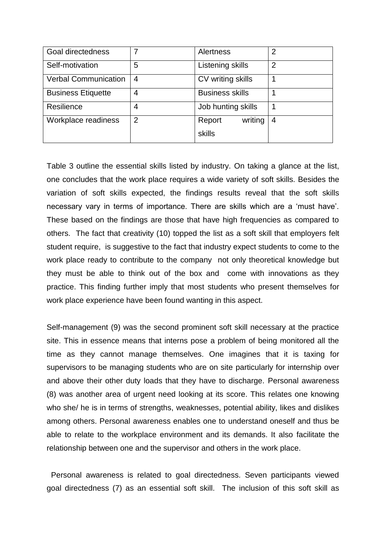| Goal directedness           |   | <b>Alertness</b>       | $\overline{2}$ |
|-----------------------------|---|------------------------|----------------|
| Self-motivation             | 5 | Listening skills       | $\overline{2}$ |
| <b>Verbal Communication</b> | 4 | CV writing skills      |                |
| <b>Business Etiquette</b>   | 4 | <b>Business skills</b> |                |
| Resilience                  | 4 | Job hunting skills     |                |
| Workplace readiness         | 2 | writing<br>Report      | 4              |
|                             |   | skills                 |                |

Table 3 outline the essential skills listed by industry. On taking a glance at the list, one concludes that the work place requires a wide variety of soft skills. Besides the variation of soft skills expected, the findings results reveal that the soft skills necessary vary in terms of importance. There are skills which are a 'must have'. These based on the findings are those that have high frequencies as compared to others. The fact that creativity (10) topped the list as a soft skill that employers felt student require, is suggestive to the fact that industry expect students to come to the work place ready to contribute to the company not only theoretical knowledge but they must be able to think out of the box and come with innovations as they practice. This finding further imply that most students who present themselves for work place experience have been found wanting in this aspect.

Self-management (9) was the second prominent soft skill necessary at the practice site. This in essence means that interns pose a problem of being monitored all the time as they cannot manage themselves. One imagines that it is taxing for supervisors to be managing students who are on site particularly for internship over and above their other duty loads that they have to discharge. Personal awareness (8) was another area of urgent need looking at its score. This relates one knowing who she/ he is in terms of strengths, weaknesses, potential ability, likes and dislikes among others. Personal awareness enables one to understand oneself and thus be able to relate to the workplace environment and its demands. It also facilitate the relationship between one and the supervisor and others in the work place.

Personal awareness is related to goal directedness. Seven participants viewed goal directedness (7) as an essential soft skill. The inclusion of this soft skill as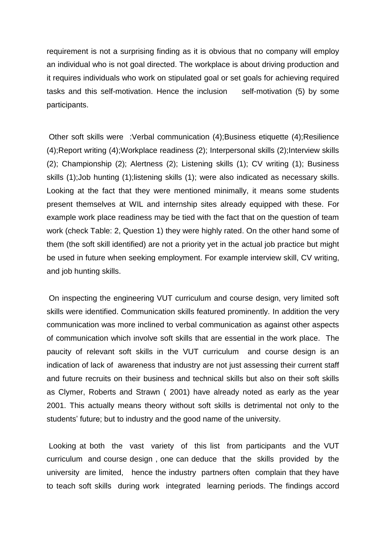requirement is not a surprising finding as it is obvious that no company will employ an individual who is not goal directed. The workplace is about driving production and it requires individuals who work on stipulated goal or set goals for achieving required tasks and this self-motivation. Hence the inclusion self-motivation (5) by some participants.

Other soft skills were :Verbal communication (4);Business etiquette (4);Resilience (4);Report writing (4);Workplace readiness (2); Interpersonal skills (2);Interview skills (2); Championship (2); Alertness (2); Listening skills (1); CV writing (1); Business skills (1);Job hunting (1);listening skills (1); were also indicated as necessary skills. Looking at the fact that they were mentioned minimally, it means some students present themselves at WIL and internship sites already equipped with these. For example work place readiness may be tied with the fact that on the question of team work (check Table: 2, Question 1) they were highly rated. On the other hand some of them (the soft skill identified) are not a priority yet in the actual job practice but might be used in future when seeking employment. For example interview skill, CV writing, and job hunting skills.

On inspecting the engineering VUT curriculum and course design, very limited soft skills were identified. Communication skills featured prominently. In addition the very communication was more inclined to verbal communication as against other aspects of communication which involve soft skills that are essential in the work place. The paucity of relevant soft skills in the VUT curriculum and course design is an indication of lack of awareness that industry are not just assessing their current staff and future recruits on their business and technical skills but also on their soft skills as Clymer, Roberts and Strawn ( 2001) have already noted as early as the year 2001. This actually means theory without soft skills is detrimental not only to the students' future; but to industry and the good name of the university.

Looking at both the vast variety of this list from participants and the VUT curriculum and course design , one can deduce that the skills provided by the university are limited, hence the industry partners often complain that they have to teach soft skills during work integrated learning periods. The findings accord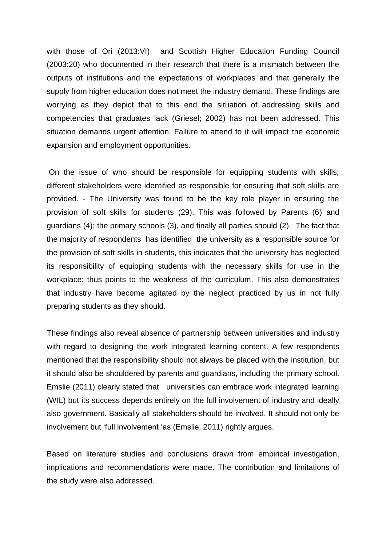with those of Ori (2013:VI) and Scottish Higher Education Funding Council (2003:20) who documented in their research that there is a mismatch between the outputs of institutions and the expectations of workplaces and that generally the supply from higher education does not meet the industry demand. These findings are worrying as they depict that to this end the situation of addressing skills and competencies that graduates lack (Griesel; 2002) has not been addressed. This situation demands urgent attention. Failure to attend to it will impact the economic expansion and employment opportunities.

On the issue of who should be responsible for equipping students with skills; different stakeholders were identified as responsible for ensuring that soft skills are provided. - The University was found to be the key role player in ensuring the provision of soft skills for students (29). This was followed by Parents (6) and guardians (4); the primary schools (3), and finally all parties should (2). The fact that the majority of respondents has identified the university as a responsible source for the provision of soft skills in students, this indicates that the university has neglected its responsibility of equipping students with the necessary skills for use in the workplace; thus points to the weakness of the curriculum. This also demonstrates that industry have become agitated by the neglect practiced by us in not fully preparing students as they should.

These findings also reveal absence of partnership between universities and industry with regard to designing the work integrated learning content. A few respondents mentioned that the responsibility should not always be placed with the institution, but it should also be shouldered by parents and guardians, including the primary school. Emslie (2011) clearly stated that universities can embrace work integrated learning (WIL) but its success depends entirely on the full involvement of industry and ideally also government. Basically all stakeholders should be involved. It should not only be involvement but 'full involvement 'as (Emslie, 2011) rightly argues.

Based on literature studies and conclusions drawn from empirical investigation, implications and recommendations were made. The contribution and limitations of the study were also addressed.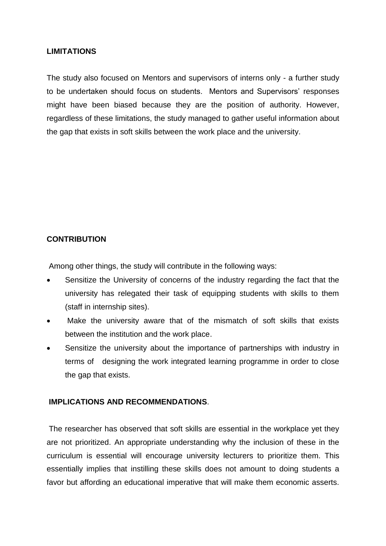## **LIMITATIONS**

The study also focused on Mentors and supervisors of interns only - a further study to be undertaken should focus on students. Mentors and Supervisors' responses might have been biased because they are the position of authority. However, regardless of these limitations, the study managed to gather useful information about the gap that exists in soft skills between the work place and the university.

# **CONTRIBUTION**

Among other things, the study will contribute in the following ways:

- Sensitize the University of concerns of the industry regarding the fact that the university has relegated their task of equipping students with skills to them (staff in internship sites).
- Make the university aware that of the mismatch of soft skills that exists between the institution and the work place.
- Sensitize the university about the importance of partnerships with industry in terms of designing the work integrated learning programme in order to close the gap that exists.

# **IMPLICATIONS AND RECOMMENDATIONS**.

The researcher has observed that soft skills are essential in the workplace yet they are not prioritized. An appropriate understanding why the inclusion of these in the curriculum is essential will encourage university lecturers to prioritize them. This essentially implies that instilling these skills does not amount to doing students a favor but affording an educational imperative that will make them economic asserts.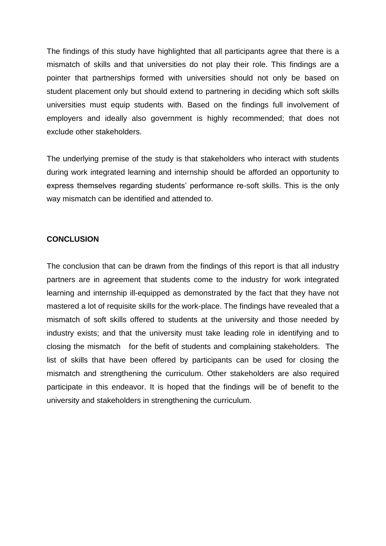The findings of this study have highlighted that all participants agree that there is a mismatch of skills and that universities do not play their role. This findings are a pointer that partnerships formed with universities should not only be based on student placement only but should extend to partnering in deciding which soft skills universities must equip students with. Based on the findings full involvement of employers and ideally also government is highly recommended; that does not exclude other stakeholders.

The underlying premise of the study is that stakeholders who interact with students during work integrated learning and internship should be afforded an opportunity to express themselves regarding students' performance re-soft skills. This is the only way mismatch can be identified and attended to.

### **CONCLUSION**

The conclusion that can be drawn from the findings of this report is that all industry partners are in agreement that students come to the industry for work integrated learning and internship ill-equipped as demonstrated by the fact that they have not mastered a lot of requisite skills for the work-place. The findings have revealed that a mismatch of soft skills offered to students at the university and those needed by industry exists; and that the university must take leading role in identifying and to closing the mismatch for the befit of students and complaining stakeholders. The list of skills that have been offered by participants can be used for closing the mismatch and strengthening the curriculum. Other stakeholders are also required participate in this endeavor. It is hoped that the findings will be of benefit to the university and stakeholders in strengthening the curriculum.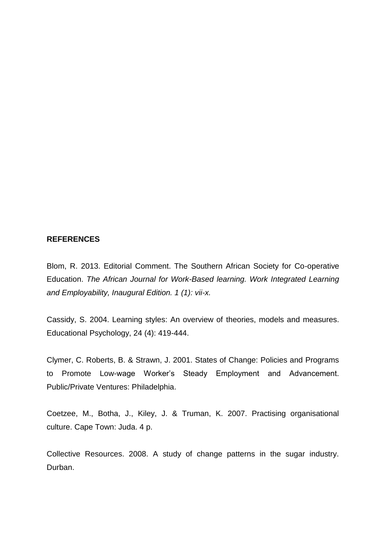#### **REFERENCES**

Blom, R. 2013. Editorial Comment. The Southern African Society for Co-operative Education. *The African Journal for Work-Based learning. Work Integrated Learning and Employability, Inaugural Edition. 1 (1): vii-x.*

Cassidy, S. 2004. Learning styles: An overview of theories, models and measures. Educational Psychology, 24 (4): 419-444.

Clymer, C. Roberts, B. & Strawn, J. 2001. States of Change: Policies and Programs to Promote Low-wage Worker's Steady Employment and Advancement. Public/Private Ventures: Philadelphia.

Coetzee, M., Botha, J., Kiley, J. & Truman, K. 2007. Practising organisational culture. Cape Town: Juda. 4 p.

Collective Resources. 2008. A study of change patterns in the sugar industry. Durban.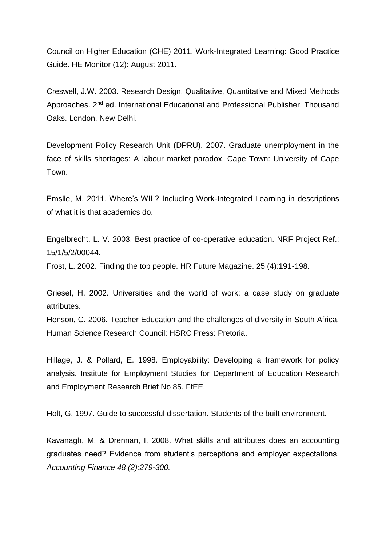Council on Higher Education (CHE) 2011. Work-Integrated Learning: Good Practice Guide. HE Monitor (12): August 2011.

Creswell, J.W. 2003. Research Design. Qualitative, Quantitative and Mixed Methods Approaches. 2<sup>nd</sup> ed. International Educational and Professional Publisher. Thousand Oaks. London. New Delhi.

Development Policy Research Unit (DPRU). 2007. Graduate unemployment in the face of skills shortages: A labour market paradox. Cape Town: University of Cape Town.

Emslie, M. 2011. Where's WIL? Including Work-Integrated Learning in descriptions of what it is that academics do.

Engelbrecht, L. V. 2003. Best practice of co-operative education. NRF Project Ref.: 15/1/5/2/00044.

Frost, L. 2002. Finding the top people. HR Future Magazine. 25 (4):191-198.

Griesel, H. 2002. Universities and the world of work: a case study on graduate attributes.

Henson, C. 2006. Teacher Education and the challenges of diversity in South Africa. Human Science Research Council: HSRC Press: Pretoria.

Hillage, J. & Pollard, E. 1998. Employability: Developing a framework for policy analysis. Institute for Employment Studies for Department of Education Research and Employment Research Brief No 85. FfEE.

Holt, G. 1997. Guide to successful dissertation. Students of the built environment.

Kavanagh, M. & Drennan, I. 2008. What skills and attributes does an accounting graduates need? Evidence from student's perceptions and employer expectations. *Accounting Finance 48 (2):279-300.*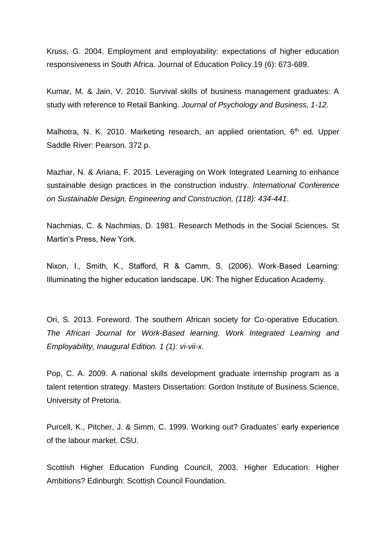Kruss, G. 2004. Employment and employability: expectations of higher education responsiveness in South Africa. Journal of Education Policy.19 (6): 673-689.

Kumar, M. & Jain, V. 2010. Survival skills of business management graduates: A study with reference to Retail Banking. *Journal of Psychology and Business, 1-12.*

Malhotra, N. K. 2010. Marketing research, an applied orientation, 6<sup>th</sup> ed. Upper Saddle River: Pearson. 372 p.

Mazhar, N. & Ariana, F. 2015. Leveraging on Work Integrated Learning to enhance sustainable design practices in the construction industry. *International Conference on Sustainable Design, Engineering and Construction, (118): 434-441*.

Nachmias, C. & Nachmias, D. 1981. Research Methods in the Social Sciences. St Martin's Press, New York.

Nixon, I., Smith, K., Stafford, R & Camm, S. (2006). Work-Based Learning: Illuminating the higher education landscape. UK: The higher Education Academy.

Ori, S. 2013. Foreword. The southern African society for Co-operative Education. *The African Journal for Work-Based learning. Work Integrated Learning and Employability, Inaugural Edition. 1 (1): vi-vii-x.*

Pop, C. A. 2009. A national skills development graduate internship program as a talent retention strategy. Masters Dissertation: Gordon Institute of Business Science, University of Pretoria.

Purcell, K., Pitcher, J. & Simm, C. 1999. Working out? Graduates' early experience of the labour market. CSU.

Scottish Higher Education Funding Council, 2003. Higher Education: Higher Ambitions? Edinburgh: Scottish Council Foundation.